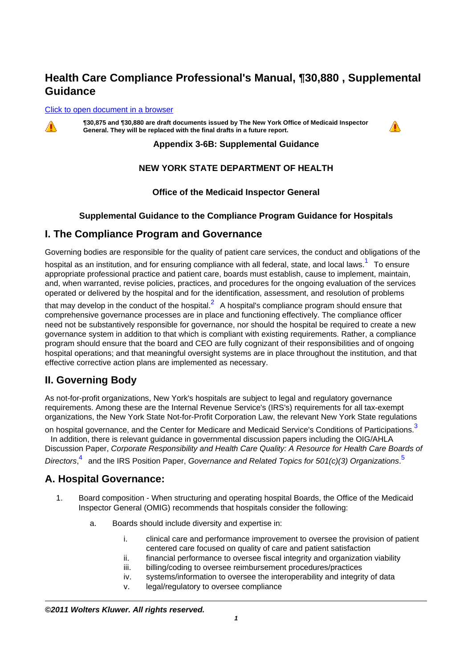# **Health Care Compliance Professional's Manual, ¶30,880 , Supplemental Guidance**

#### [Click to open document in a browser](http://prod.resource.cch.com/resource/scion/document/default/%28%40%40HCOMP-GUIDE+P30880%2909013e2c85155a7e?cfu=BC)



**¶30,875 and ¶30,880 are draft documents issued by The New York Office of Medicaid Inspector General. They will be replaced with the final drafts in a future report.**



#### **Appendix 3-6B: Supplemental Guidance**

### **NEW YORK STATE DEPARTMENT OF HEALTH**

#### **Office of the Medicaid Inspector General**

#### **Supplemental Guidance to the Compliance Program Guidance for Hospitals**

### **I. The Compliance Program and Governance**

Governing bodies are responsible for the quality of patient care services, the conduct and obligations of the

hospital as an institution, and for ensuring compliance with all federal, state, and local laws.<sup>1</sup> To ensure appropriate professional practice and patient care, boards must establish, cause to implement, maintain, and, when warranted, revise policies, practices, and procedures for the ongoing evaluation of the services operated or delivered by the hospital and for the identification, assessment, and resolution of problems

that may develop in the conduct of the hospital.<sup>2</sup> A hospital's compliance program should ensure that comprehensive governance processes are in place and functioning effectively. The compliance officer need not be substantively responsible for governance, nor should the hospital be required to create a new governance system in addition to that which is compliant with existing requirements. Rather, a compliance program should ensure that the board and CEO are fully cognizant of their responsibilities and of ongoing hospital operations; and that meaningful oversight systems are in place throughout the institution, and that effective corrective action plans are implemented as necessary.

### **II. Governing Body**

As not-for-profit organizations, New York's hospitals are subject to legal and regulatory governance requirements. Among these are the Internal Revenue Service's (IRS's) requirements for all tax-exempt organizations, the New York State Not-for-Profit Corporation Law, the relevant New York State regulations

on hospital governance, and the Center for Medicare and Medicaid Service's Conditions of Participations.<sup>3</sup> In addition, there is relevant guidance in governmental discussion papers including the OIG/AHLA

Discussion Paper, Corporate Responsibility and Health Care Quality: A Resource for Health Care Boards of

Directors,<sup>4</sup> and the IRS Position Paper, Governance and Related Topics for 501(c)(3) Organizations.<sup>5</sup>

### **A. Hospital Governance:**

- 1. Board composition When structuring and operating hospital Boards, the Office of the Medicaid Inspector General (OMIG) recommends that hospitals consider the following:
	- a. Boards should include diversity and expertise in:
		- i. clinical care and performance improvement to oversee the provision of patient centered care focused on quality of care and patient satisfaction
		- ii. financial performance to oversee fiscal integrity and organization viability
		- iii. billing/coding to oversee reimbursement procedures/practices
		- iv. systems/information to oversee the interoperability and integrity of data
		- v. legal/regulatory to oversee compliance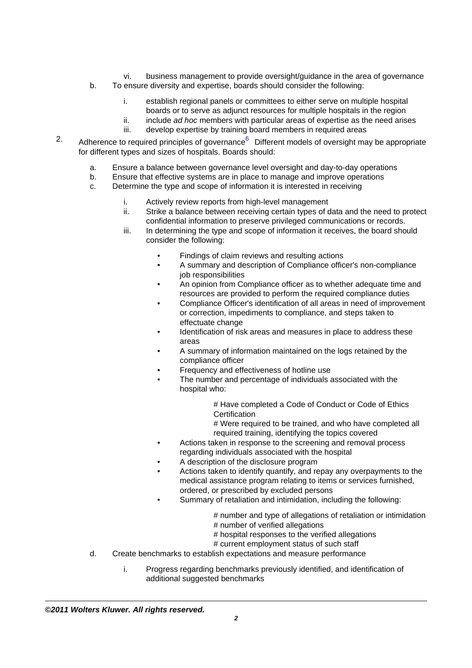- vi. business management to provide oversight/guidance in the area of governance
- b. To ensure diversity and expertise, boards should consider the following:
	- i. establish regional panels or committees to either serve on multiple hospital boards or to serve as adjunct resources for multiple hospitals in the region
	- ii.  $i$  include *ad hoc* members with particular areas of expertise as the need arises
	- iii. develop expertise by training board members in required areas
- 2. Adherence to required principles of governance<sup>6</sup> Different models of oversight may be appropriate for different types and sizes of hospitals. Boards should:
	- a. Ensure a balance between governance level oversight and day-to-day operations
	- b. Ensure that effective systems are in place to manage and improve operations
	- c. Determine the type and scope of information it is interested in receiving
		- i. Actively review reports from high-level management
		- ii. Strike a balance between receiving certain types of data and the need to protect confidential information to preserve privileged communications or records.
		- iii. In determining the type and scope of information it receives, the board should consider the following:
			- Findings of claim reviews and resulting actions
			- A summary and description of Compliance officer's non-compliance job responsibilities
			- An opinion from Compliance officer as to whether adequate time and resources are provided to perform the required compliance duties
			- Compliance Officer's identification of all areas in need of improvement or correction, impediments to compliance, and steps taken to effectuate change
			- Identification of risk areas and measures in place to address these areas
			- A summary of information maintained on the logs retained by the compliance officer
			- Frequency and effectiveness of hotline use
			- The number and percentage of individuals associated with the hospital who:

# Have completed a Code of Conduct or Code of Ethics **Certification** 

# Were required to be trained, and who have completed all required training, identifying the topics covered

- Actions taken in response to the screening and removal process regarding individuals associated with the hospital
- A description of the disclosure program
- Actions taken to identify quantify, and repay any overpayments to the medical assistance program relating to items or services furnished, ordered, or prescribed by excluded persons
- Summary of retaliation and intimidation, including the following:
	- # number and type of allegations of retaliation or intimidation
	- # number of verified allegations
	- # hospital responses to the verified allegations
	- # current employment status of such staff
- d. Create benchmarks to establish expectations and measure performance
	- i. Progress regarding benchmarks previously identified, and identification of additional suggested benchmarks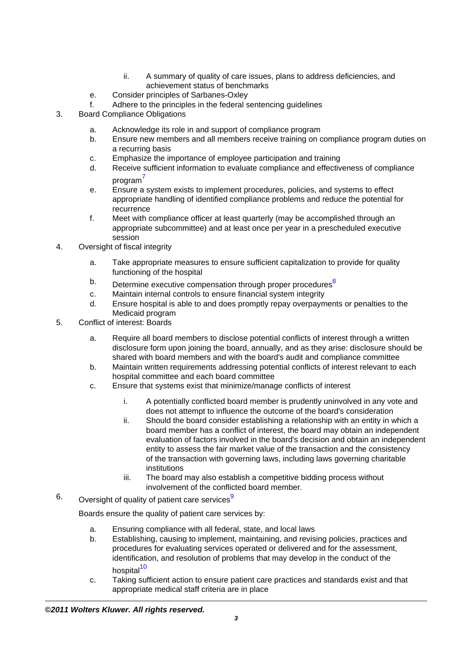- ii. A summary of quality of care issues, plans to address deficiencies, and achievement status of benchmarks
- e. Consider principles of Sarbanes-Oxley
- f. Adhere to the principles in the federal sentencing guidelines
- 3. Board Compliance Obligations
	- a. Acknowledge its role in and support of compliance program
	- b. Ensure new members and all members receive training on compliance program duties on a recurring basis
	- c. Emphasize the importance of employee participation and training
	- d. Receive sufficient information to evaluate compliance and effectiveness of compliance  $porogram<sup>7</sup>$
	- e. Ensure a system exists to implement procedures, policies, and systems to effect appropriate handling of identified compliance problems and reduce the potential for recurrence
	- f. Meet with compliance officer at least quarterly (may be accomplished through an appropriate subcommittee) and at least once per year in a prescheduled executive session
- 4. Oversight of fiscal integrity
	- a. Take appropriate measures to ensure sufficient capitalization to provide for quality functioning of the hospital
	- b. Determine executive compensation through proper procedures<sup>8</sup>
	- c. Maintain internal controls to ensure financial system integrity
	- d. Ensure hospital is able to and does promptly repay overpayments or penalties to the Medicaid program
- 5. Conflict of interest: Boards
	- a. Require all board members to disclose potential conflicts of interest through a written disclosure form upon joining the board, annually, and as they arise: disclosure should be shared with board members and with the board's audit and compliance committee
	- b. Maintain written requirements addressing potential conflicts of interest relevant to each hospital committee and each board committee
	- c. Ensure that systems exist that minimize/manage conflicts of interest
		- i. A potentially conflicted board member is prudently uninvolved in any vote and does not attempt to influence the outcome of the board's consideration
		- ii. Should the board consider establishing a relationship with an entity in which a board member has a conflict of interest, the board may obtain an independent evaluation of factors involved in the board's decision and obtain an independent entity to assess the fair market value of the transaction and the consistency of the transaction with governing laws, including laws governing charitable institutions
		- iii. The board may also establish a competitive bidding process without involvement of the conflicted board member.
- $6.$  Oversight of quality of patient care services<sup>9</sup>

Boards ensure the quality of patient care services by:

- a. Ensuring compliance with all federal, state, and local laws
- b. Establishing, causing to implement, maintaining, and revising policies, practices and procedures for evaluating services operated or delivered and for the assessment, identification, and resolution of problems that may develop in the conduct of the hospital<sup>10</sup>
- c. Taking sufficient action to ensure patient care practices and standards exist and that appropriate medical staff criteria are in place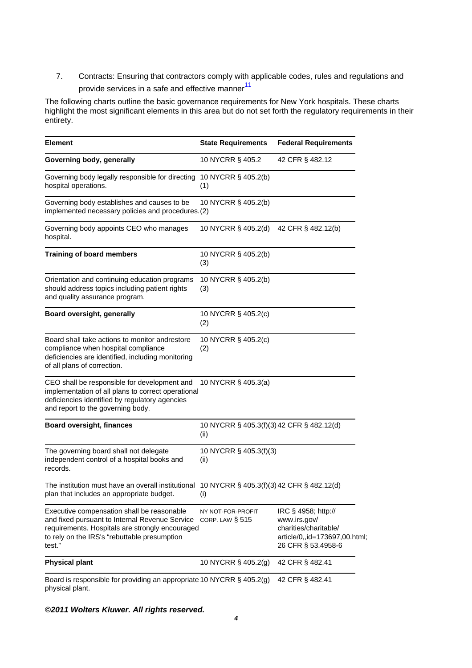7. Contracts: Ensuring that contractors comply with applicable codes, rules and regulations and provide services in a safe and effective manner $^{11}$ 

The following charts outline the basic governance requirements for New York hospitals. These charts highlight the most significant elements in this area but do not set forth the regulatory requirements in their entirety.

| <b>Element</b>                                                                                                                                                                                            | <b>State Requirements</b>                         | <b>Federal Requirements</b>                                                                                         |
|-----------------------------------------------------------------------------------------------------------------------------------------------------------------------------------------------------------|---------------------------------------------------|---------------------------------------------------------------------------------------------------------------------|
| Governing body, generally                                                                                                                                                                                 | 10 NYCRR § 405.2                                  | 42 CFR § 482.12                                                                                                     |
| Governing body legally responsible for directing<br>hospital operations.                                                                                                                                  | 10 NYCRR § 405.2(b)<br>(1)                        |                                                                                                                     |
| Governing body establishes and causes to be<br>implemented necessary policies and procedures.(2)                                                                                                          | 10 NYCRR § 405.2(b)                               |                                                                                                                     |
| Governing body appoints CEO who manages<br>hospital.                                                                                                                                                      | 10 NYCRR § 405.2(d)                               | 42 CFR § 482.12(b)                                                                                                  |
| <b>Training of board members</b>                                                                                                                                                                          | 10 NYCRR § 405.2(b)<br>(3)                        |                                                                                                                     |
| Orientation and continuing education programs<br>should address topics including patient rights<br>and quality assurance program.                                                                         | 10 NYCRR § 405.2(b)<br>(3)                        |                                                                                                                     |
| Board oversight, generally                                                                                                                                                                                | 10 NYCRR § 405.2(c)<br>(2)                        |                                                                                                                     |
| Board shall take actions to monitor andrestore<br>compliance when hospital compliance<br>deficiencies are identified, including monitoring<br>of all plans of correction.                                 | 10 NYCRR § 405.2(c)<br>(2)                        |                                                                                                                     |
| CEO shall be responsible for development and<br>implementation of all plans to correct operational<br>deficiencies identified by regulatory agencies<br>and report to the governing body.                 | 10 NYCRR § 405.3(a)                               |                                                                                                                     |
| <b>Board oversight, finances</b>                                                                                                                                                                          | 10 NYCRR § 405.3(f)(3) 42 CFR § 482.12(d)<br>(ii) |                                                                                                                     |
| The governing board shall not delegate<br>independent control of a hospital books and<br>records.                                                                                                         | 10 NYCRR § 405.3(f)(3)<br>(ii)                    |                                                                                                                     |
| The institution must have an overall institutional 10 NYCRR $\S$ 405.3(f)(3) 42 CFR $\S$ 482.12(d)<br>plan that includes an appropriate budget.                                                           | (i)                                               |                                                                                                                     |
| Executive compensation shall be reasonable<br>and fixed pursuant to Internal Revenue Service<br>requirements. Hospitals are strongly encouraged<br>to rely on the IRS's "rebuttable presumption<br>test." | NY NOT-FOR-PROFIT<br>CORP. LAW $\S$ 515           | IRC § 4958; http://<br>www.irs.gov/<br>charities/charitable/<br>article/0,,id=173697,00.html;<br>26 CFR § 53.4958-6 |
| <b>Physical plant</b>                                                                                                                                                                                     | 10 NYCRR § 405.2(g)                               | 42 CFR § 482.41                                                                                                     |
| Board is responsible for providing an appropriate 10 NYCRR § 405.2(g)<br>physical plant.                                                                                                                  |                                                   | 42 CFR § 482.41                                                                                                     |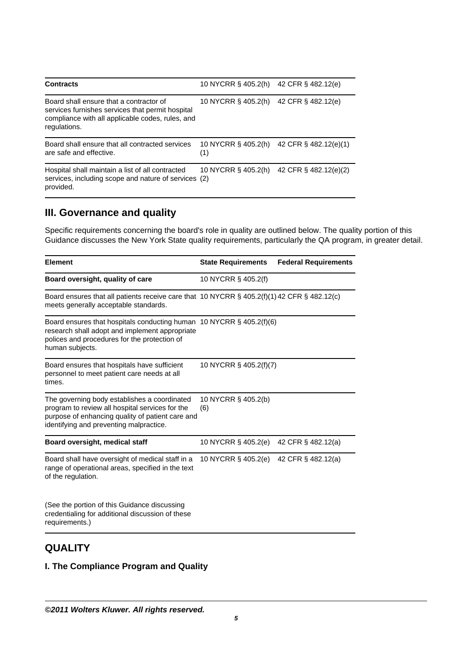| <b>Contracts</b>                                                                                                                                                | 10 NYCRR § 405.2(h)        | 42 CFR § 482.12(e)    |
|-----------------------------------------------------------------------------------------------------------------------------------------------------------------|----------------------------|-----------------------|
| Board shall ensure that a contractor of<br>services furnishes services that permit hospital<br>compliance with all applicable codes, rules, and<br>regulations. | 10 NYCRR § 405.2(h)        | 42 CFR § 482.12(e)    |
| Board shall ensure that all contracted services<br>are safe and effective.                                                                                      | 10 NYCRR § 405.2(h)<br>(1) | 42 CFR § 482.12(e)(1) |
| Hospital shall maintain a list of all contracted<br>services, including scope and nature of services (2)<br>provided.                                           | 10 NYCRR § 405.2(h)        | 42 CFR § 482.12(e)(2) |

### **III. Governance and quality**

Specific requirements concerning the board's role in quality are outlined below. The quality portion of this Guidance discusses the New York State quality requirements, particularly the QA program, in greater detail.

| <b>Element</b>                                                                                                                                                                                 | <b>State Requirements</b>  | <b>Federal Requirements</b> |
|------------------------------------------------------------------------------------------------------------------------------------------------------------------------------------------------|----------------------------|-----------------------------|
| Board oversight, quality of care                                                                                                                                                               | 10 NYCRR § 405.2(f)        |                             |
| Board ensures that all patients receive care that 10 NYCRR $\S$ 405.2(f)(1) 42 CFR $\S$ 482.12(c)<br>meets generally acceptable standards.                                                     |                            |                             |
| Board ensures that hospitals conducting human 10 NYCRR $\S$ 405.2(f)(6)<br>research shall adopt and implement appropriate<br>polices and procedures for the protection of<br>human subjects.   |                            |                             |
| Board ensures that hospitals have sufficient<br>personnel to meet patient care needs at all<br>times.                                                                                          | 10 NYCRR § 405.2(f)(7)     |                             |
| The governing body establishes a coordinated<br>program to review all hospital services for the<br>purpose of enhancing quality of patient care and<br>identifying and preventing malpractice. | 10 NYCRR § 405.2(b)<br>(6) |                             |
| Board oversight, medical staff                                                                                                                                                                 | 10 NYCRR § 405.2(e)        | 42 CFR § 482.12(a)          |
| Board shall have oversight of medical staff in a<br>range of operational areas, specified in the text<br>of the regulation.                                                                    | 10 NYCRR § 405.2(e)        | 42 CFR § 482.12(a)          |
| (See the portion of this Guidance discussing<br>credentialing for additional discussion of these<br>requirements.)                                                                             |                            |                             |

# **QUALITY**

#### **I. The Compliance Program and Quality**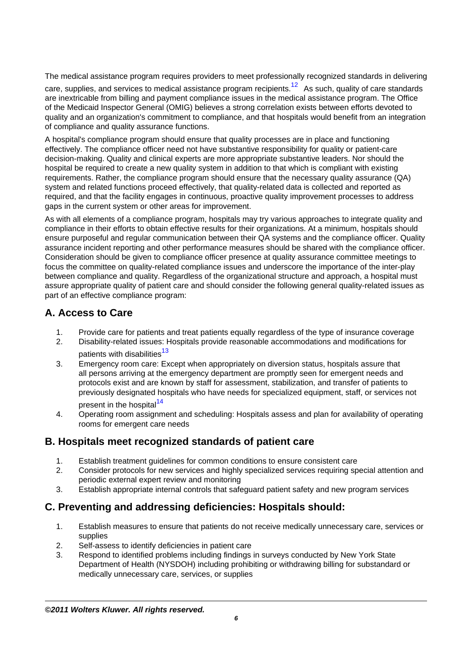The medical assistance program requires providers to meet professionally recognized standards in delivering

care, supplies, and services to medical assistance program recipients.<sup>12</sup> As such, quality of care standards are inextricable from billing and payment compliance issues in the medical assistance program. The Office of the Medicaid Inspector General (OMIG) believes a strong correlation exists between efforts devoted to quality and an organization's commitment to compliance, and that hospitals would benefit from an integration of compliance and quality assurance functions.

A hospital's compliance program should ensure that quality processes are in place and functioning effectively. The compliance officer need not have substantive responsibility for quality or patient-care decision-making. Quality and clinical experts are more appropriate substantive leaders. Nor should the hospital be required to create a new quality system in addition to that which is compliant with existing requirements. Rather, the compliance program should ensure that the necessary quality assurance (QA) system and related functions proceed effectively, that quality-related data is collected and reported as required, and that the facility engages in continuous, proactive quality improvement processes to address gaps in the current system or other areas for improvement.

As with all elements of a compliance program, hospitals may try various approaches to integrate quality and compliance in their efforts to obtain effective results for their organizations. At a minimum, hospitals should ensure purposeful and regular communication between their QA systems and the compliance officer. Quality assurance incident reporting and other performance measures should be shared with the compliance officer. Consideration should be given to compliance officer presence at quality assurance committee meetings to focus the committee on quality-related compliance issues and underscore the importance of the inter-play between compliance and quality. Regardless of the organizational structure and approach, a hospital must assure appropriate quality of patient care and should consider the following general quality-related issues as part of an effective compliance program:

# **A. Access to Care**

- 1. Provide care for patients and treat patients equally regardless of the type of insurance coverage
- 2. Disability-related issues: Hospitals provide reasonable accommodations and modifications for patients with disabilities<sup>13</sup>
- 3. Emergency room care: Except when appropriately on diversion status, hospitals assure that all persons arriving at the emergency department are promptly seen for emergent needs and protocols exist and are known by staff for assessment, stabilization, and transfer of patients to previously designated hospitals who have needs for specialized equipment, staff, or services not present in the hospital<sup>14</sup>
- 4. Operating room assignment and scheduling: Hospitals assess and plan for availability of operating rooms for emergent care needs

## **B. Hospitals meet recognized standards of patient care**

- 1. Establish treatment guidelines for common conditions to ensure consistent care
- 2. Consider protocols for new services and highly specialized services requiring special attention and periodic external expert review and monitoring
- 3. Establish appropriate internal controls that safeguard patient safety and new program services

## **C. Preventing and addressing deficiencies: Hospitals should:**

- 1. Establish measures to ensure that patients do not receive medically unnecessary care, services or supplies
- 2. Self-assess to identify deficiencies in patient care
- 3. Respond to identified problems including findings in surveys conducted by New York State Department of Health (NYSDOH) including prohibiting or withdrawing billing for substandard or medically unnecessary care, services, or supplies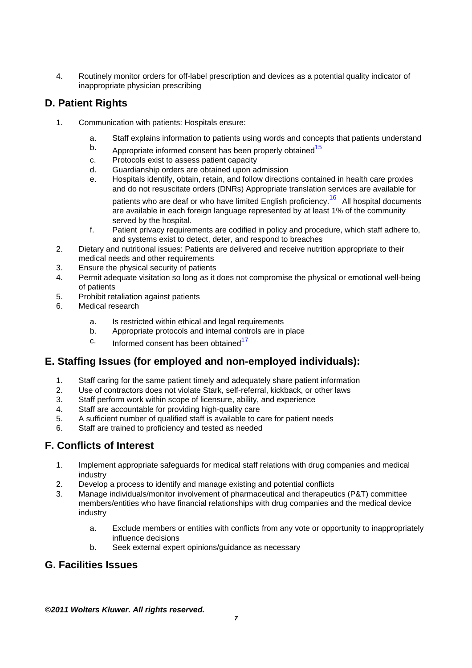4. Routinely monitor orders for off-label prescription and devices as a potential quality indicator of inappropriate physician prescribing

# **D. Patient Rights**

- 1. Communication with patients: Hospitals ensure:
	- a. Staff explains information to patients using words and concepts that patients understand
	- b. Appropriate informed consent has been properly obtained<sup>15</sup>
	- c. Protocols exist to assess patient capacity
	- d. Guardianship orders are obtained upon admission
	- e. Hospitals identify, obtain, retain, and follow directions contained in health care proxies and do not resuscitate orders (DNRs) Appropriate translation services are available for

patients who are deaf or who have limited English proficiency.<sup>16</sup> All hospital documents are available in each foreign language represented by at least 1% of the community served by the hospital.

- f. Patient privacy requirements are codified in policy and procedure, which staff adhere to, and systems exist to detect, deter, and respond to breaches
- 2. Dietary and nutritional issues: Patients are delivered and receive nutrition appropriate to their medical needs and other requirements
- 3. Ensure the physical security of patients
- 4. Permit adequate visitation so long as it does not compromise the physical or emotional well-being of patients
- 5. Prohibit retaliation against patients
- 6. Medical research
	- a. Is restricted within ethical and legal requirements
	- b. Appropriate protocols and internal controls are in place
	- $c.$  Informed consent has been obtained<sup>17</sup>

## **E. Staffing Issues (for employed and non-employed individuals):**

- 1. Staff caring for the same patient timely and adequately share patient information
- 2. Use of contractors does not violate Stark, self-referral, kickback, or other laws
- 3. Staff perform work within scope of licensure, ability, and experience
- 4. Staff are accountable for providing high-quality care
- 5. A sufficient number of qualified staff is available to care for patient needs
- 6. Staff are trained to proficiency and tested as needed

## **F. Conflicts of Interest**

- 1. Implement appropriate safeguards for medical staff relations with drug companies and medical industry
- 2. Develop a process to identify and manage existing and potential conflicts
- 3. Manage individuals/monitor involvement of pharmaceutical and therapeutics (P&T) committee members/entities who have financial relationships with drug companies and the medical device industry
	- a. Exclude members or entities with conflicts from any vote or opportunity to inappropriately influence decisions
	- b. Seek external expert opinions/guidance as necessary

## **G. Facilities Issues**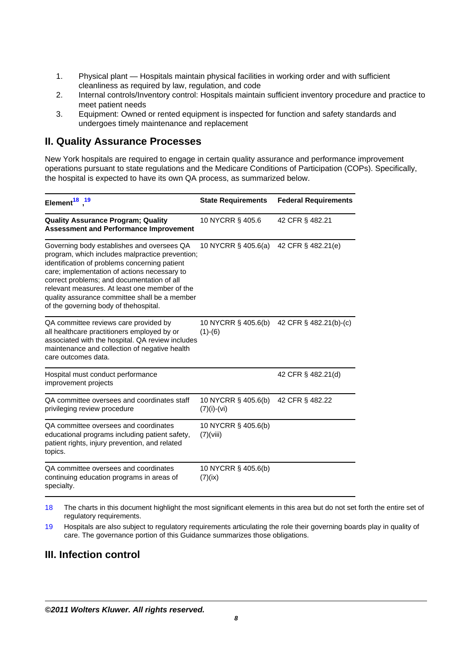- 1. Physical plant Hospitals maintain physical facilities in working order and with sufficient cleanliness as required by law, regulation, and code
- 2. Internal controls/Inventory control: Hospitals maintain sufficient inventory procedure and practice to meet patient needs
- 3. Equipment: Owned or rented equipment is inspected for function and safety standards and undergoes timely maintenance and replacement

### **II. Quality Assurance Processes**

New York hospitals are required to engage in certain quality assurance and performance improvement operations pursuant to state regulations and the Medicare Conditions of Participation (COPs). Specifically, the hospital is expected to have its own QA process, as summarized below.

| Element <sup>18</sup> <sup>19</sup>                                                                                                                                                                                                                                                                                                                                                     | <b>State Requirements</b>            | <b>Federal Requirements</b> |
|-----------------------------------------------------------------------------------------------------------------------------------------------------------------------------------------------------------------------------------------------------------------------------------------------------------------------------------------------------------------------------------------|--------------------------------------|-----------------------------|
| <b>Quality Assurance Program; Quality</b><br><b>Assessment and Performance Improvement</b>                                                                                                                                                                                                                                                                                              | 10 NYCRR § 405.6                     | 42 CFR § 482.21             |
| Governing body establishes and oversees QA<br>program, which includes malpractice prevention;<br>identification of problems concerning patient<br>care; implementation of actions necessary to<br>correct problems; and documentation of all<br>relevant measures. At least one member of the<br>quality assurance committee shall be a member<br>of the governing body of thehospital. | 10 NYCRR § 405.6(a)                  | 42 CFR § 482.21(e)          |
| QA committee reviews care provided by<br>all healthcare practitioners employed by or<br>associated with the hospital. QA review includes<br>maintenance and collection of negative health<br>care outcomes data.                                                                                                                                                                        | 10 NYCRR § 405.6(b)<br>$(1)-(6)$     | 42 CFR § 482.21(b)-(c)      |
| Hospital must conduct performance<br>improvement projects                                                                                                                                                                                                                                                                                                                               |                                      | 42 CFR § 482.21(d)          |
| QA committee oversees and coordinates staff<br>privileging review procedure                                                                                                                                                                                                                                                                                                             | 10 NYCRR § 405.6(b)<br>$(7)(i)-(vi)$ | 42 CFR § 482.22             |
| QA committee oversees and coordinates<br>educational programs including patient safety,<br>patient rights, injury prevention, and related<br>topics.                                                                                                                                                                                                                                    | 10 NYCRR § 405.6(b)<br>(7)(viii)     |                             |
| QA committee oversees and coordinates<br>continuing education programs in areas of<br>specialty.                                                                                                                                                                                                                                                                                        | 10 NYCRR § 405.6(b)<br>(7)(ix)       |                             |

18 The charts in this document highlight the most significant elements in this area but do not set forth the entire set of regulatory requirements.

19 Hospitals are also subject to regulatory requirements articulating the role their governing boards play in quality of care. The governance portion of this Guidance summarizes those obligations.

### **III. Infection control**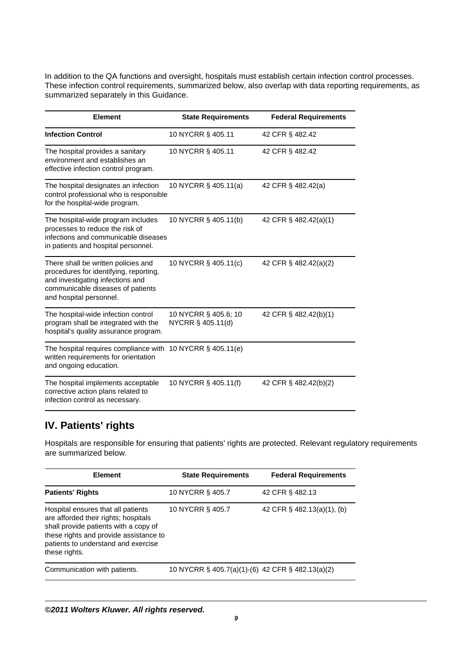In addition to the QA functions and oversight, hospitals must establish certain infection control processes. These infection control requirements, summarized below, also overlap with data reporting requirements, as summarized separately in this Guidance.

| Element                                                                                                                                                                           | <b>State Requirements</b>                 | <b>Federal Requirements</b> |
|-----------------------------------------------------------------------------------------------------------------------------------------------------------------------------------|-------------------------------------------|-----------------------------|
| <b>Infection Control</b>                                                                                                                                                          | 10 NYCRR § 405.11                         | 42 CFR § 482.42             |
| The hospital provides a sanitary<br>environment and establishes an<br>effective infection control program.                                                                        | 10 NYCRR § 405.11                         | 42 CFR § 482.42             |
| The hospital designates an infection<br>control professional who is responsible<br>for the hospital-wide program.                                                                 | 10 NYCRR § 405.11(a)                      | 42 CFR § 482.42(a)          |
| The hospital-wide program includes<br>processes to reduce the risk of<br>infections and communicable diseases<br>in patients and hospital personnel.                              | 10 NYCRR § 405.11(b)                      | 42 CFR § 482.42(a)(1)       |
| There shall be written policies and<br>procedures for identifying, reporting,<br>and investigating infections and<br>communicable diseases of patients<br>and hospital personnel. | 10 NYCRR § 405.11(c)                      | 42 CFR § 482.42(a)(2)       |
| The hospital-wide infection control<br>program shall be integrated with the<br>hospital's quality assurance program.                                                              | 10 NYCRR § 405.6; 10<br>NYCRR § 405.11(d) | 42 CFR § 482.42(b)(1)       |
| The hospital requires compliance with 10 NYCRR $\S$ 405.11(e)<br>written requirements for orientation<br>and ongoing education.                                                   |                                           |                             |
| The hospital implements acceptable<br>corrective action plans related to<br>infection control as necessary.                                                                       | 10 NYCRR § 405.11(f)                      | 42 CFR § 482.42(b)(2)       |

# **IV. Patients' rights**

Hospitals are responsible for ensuring that patients' rights are protected. Relevant regulatory requirements are summarized below.

| <b>Element</b>                                                                                                                                                                                                        | <b>State Requirements</b>                        | <b>Federal Requirements</b> |
|-----------------------------------------------------------------------------------------------------------------------------------------------------------------------------------------------------------------------|--------------------------------------------------|-----------------------------|
| <b>Patients' Rights</b>                                                                                                                                                                                               | 10 NYCRR § 405.7                                 | 42 CFR § 482.13             |
| Hospital ensures that all patients<br>are afforded their rights; hospitals<br>shall provide patients with a copy of<br>these rights and provide assistance to<br>patients to understand and exercise<br>these rights. | 10 NYCRR § 405.7                                 | 42 CFR § 482.13(a)(1), (b)  |
| Communication with patients.                                                                                                                                                                                          | 10 NYCRR § 405.7(a)(1)-(6) 42 CFR § 482.13(a)(2) |                             |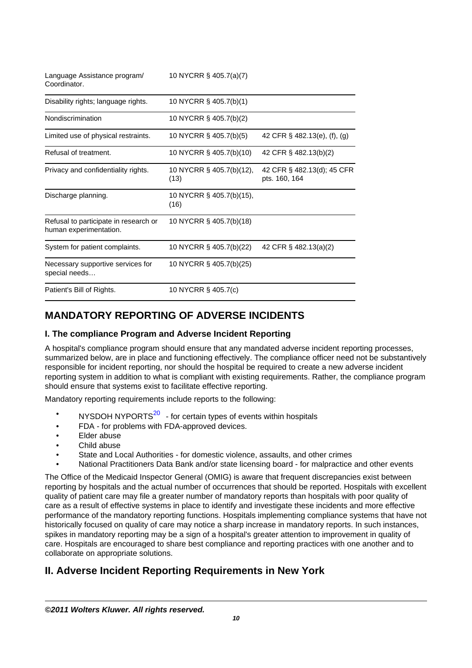| Language Assistance program/<br>Coordinator.                    | 10 NYCRR § 405.7(a)(7)           |                                             |
|-----------------------------------------------------------------|----------------------------------|---------------------------------------------|
| Disability rights; language rights.                             | 10 NYCRR § 405.7(b)(1)           |                                             |
| Nondiscrimination                                               | 10 NYCRR § 405.7(b)(2)           |                                             |
| Limited use of physical restraints.                             | 10 NYCRR § 405.7(b)(5)           | 42 CFR § 482.13(e), (f), (g)                |
| Refusal of treatment.                                           | 10 NYCRR § 405.7(b)(10)          | 42 CFR § 482.13(b)(2)                       |
| Privacy and confidentiality rights.                             | 10 NYCRR § 405.7(b)(12),<br>(13) | 42 CFR § 482.13(d); 45 CFR<br>pts. 160, 164 |
| Discharge planning.                                             | 10 NYCRR § 405.7(b)(15),<br>(16) |                                             |
| Refusal to participate in research or<br>human experimentation. | 10 NYCRR § 405.7(b)(18)          |                                             |
| System for patient complaints.                                  | 10 NYCRR § 405.7(b)(22)          | 42 CFR § 482.13(a)(2)                       |
| Necessary supportive services for<br>special needs              | 10 NYCRR § 405.7(b)(25)          |                                             |
| Patient's Bill of Rights.                                       | 10 NYCRR § 405.7(c)              |                                             |

# **MANDATORY REPORTING OF ADVERSE INCIDENTS**

#### **I. The compliance Program and Adverse Incident Reporting**

A hospital's compliance program should ensure that any mandated adverse incident reporting processes, summarized below, are in place and functioning effectively. The compliance officer need not be substantively responsible for incident reporting, nor should the hospital be required to create a new adverse incident reporting system in addition to what is compliant with existing requirements. Rather, the compliance program should ensure that systems exist to facilitate effective reporting.

Mandatory reporting requirements include reports to the following:

- NYSDOH NYPORTS $^{20}$  for certain types of events within hospitals
- FDA for problems with FDA-approved devices.
- Elder abuse
- Child abuse
- State and Local Authorities for domestic violence, assaults, and other crimes
- National Practitioners Data Bank and/or state licensing board for malpractice and other events

The Office of the Medicaid Inspector General (OMIG) is aware that frequent discrepancies exist between reporting by hospitals and the actual number of occurrences that should be reported. Hospitals with excellent quality of patient care may file a greater number of mandatory reports than hospitals with poor quality of care as a result of effective systems in place to identify and investigate these incidents and more effective performance of the mandatory reporting functions. Hospitals implementing compliance systems that have not historically focused on quality of care may notice a sharp increase in mandatory reports. In such instances, spikes in mandatory reporting may be a sign of a hospital's greater attention to improvement in quality of care. Hospitals are encouraged to share best compliance and reporting practices with one another and to collaborate on appropriate solutions.

## **II. Adverse Incident Reporting Requirements in New York**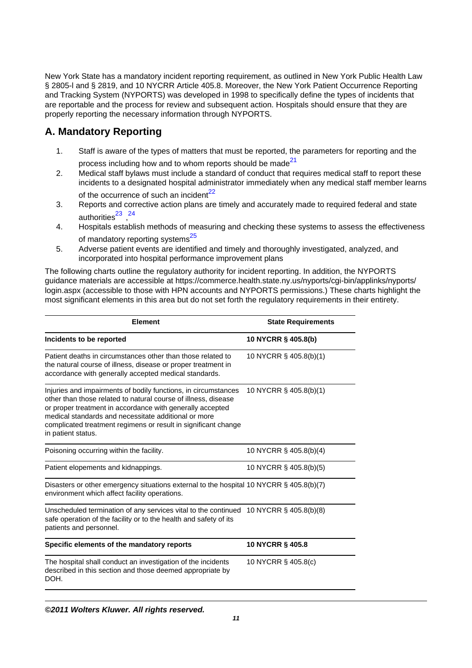New York State has a mandatory incident reporting requirement, as outlined in New York Public Health Law § 2805-l and § 2819, and 10 NYCRR Article 405.8. Moreover, the New York Patient Occurrence Reporting and Tracking System (NYPORTS) was developed in 1998 to specifically define the types of incidents that are reportable and the process for review and subsequent action. Hospitals should ensure that they are properly reporting the necessary information through NYPORTS.

# **A. Mandatory Reporting**

- 1. Staff is aware of the types of matters that must be reported, the parameters for reporting and the process including how and to whom reports should be made<sup>21</sup>
- 2. Medical staff bylaws must include a standard of conduct that requires medical staff to report these incidents to a designated hospital administrator immediately when any medical staff member learns of the occurrence of such an incident<sup>22</sup>
- 3. Reports and corrective action plans are timely and accurately made to required federal and state authorities<sup>23</sup>,<sup>24</sup>
- 4. Hospitals establish methods of measuring and checking these systems to assess the effectiveness of mandatory reporting systems<sup>25</sup>
- 5. Adverse patient events are identified and timely and thoroughly investigated, analyzed, and incorporated into hospital performance improvement plans

The following charts outline the regulatory authority for incident reporting. In addition, the NYPORTS guidance materials are accessible at https://commerce.health.state.ny.us/nyports/cgi-bin/applinks/nyports/ login.aspx (accessible to those with HPN accounts and NYPORTS permissions.) These charts highlight the most significant elements in this area but do not set forth the regulatory requirements in their entirety.

| <b>Element</b>                                                                                                                                                                                                                                                                                                                                | <b>State Requirements</b> |  |
|-----------------------------------------------------------------------------------------------------------------------------------------------------------------------------------------------------------------------------------------------------------------------------------------------------------------------------------------------|---------------------------|--|
| Incidents to be reported                                                                                                                                                                                                                                                                                                                      | 10 NYCRR § 405.8(b)       |  |
| Patient deaths in circumstances other than those related to<br>the natural course of illness, disease or proper treatment in<br>accordance with generally accepted medical standards.                                                                                                                                                         | 10 NYCRR § 405.8(b)(1)    |  |
| Injuries and impairments of bodily functions, in circumstances<br>other than those related to natural course of illness, disease<br>or proper treatment in accordance with generally accepted<br>medical standards and necessitate additional or more<br>complicated treatment regimens or result in significant change<br>in patient status. | 10 NYCRR § 405.8(b)(1)    |  |
| Poisoning occurring within the facility.                                                                                                                                                                                                                                                                                                      | 10 NYCRR § 405.8(b)(4)    |  |
| Patient elopements and kidnappings.                                                                                                                                                                                                                                                                                                           | 10 NYCRR § 405.8(b)(5)    |  |
| Disasters or other emergency situations external to the hospital 10 NYCRR $\S$ 405.8(b)(7)<br>environment which affect facility operations.                                                                                                                                                                                                   |                           |  |
| Unscheduled termination of any services vital to the continued<br>safe operation of the facility or to the health and safety of its<br>patients and personnel.                                                                                                                                                                                | 10 NYCRR § 405.8(b)(8)    |  |
| Specific elements of the mandatory reports                                                                                                                                                                                                                                                                                                    | <b>10 NYCRR § 405.8</b>   |  |
| The hospital shall conduct an investigation of the incidents<br>described in this section and those deemed appropriate by<br>DOH.                                                                                                                                                                                                             | 10 NYCRR § 405.8(c)       |  |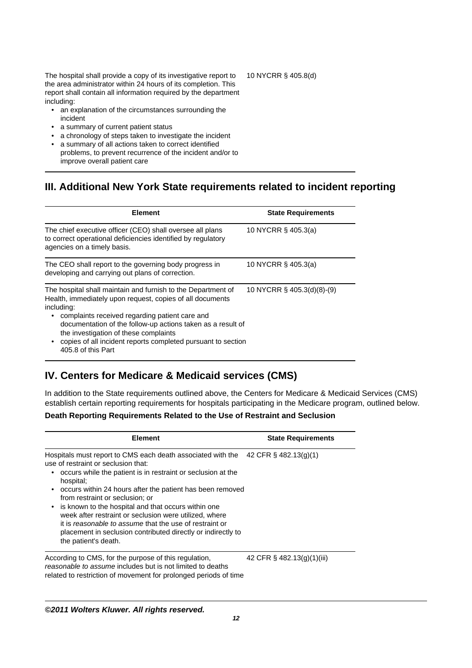The hospital shall provide a copy of its investigative report to the area administrator within 24 hours of its completion. This report shall contain all information required by the department including:

- an explanation of the circumstances surrounding the incident
- a summary of current patient status
- a chronology of steps taken to investigate the incident
- a summary of all actions taken to correct identified problems, to prevent recurrence of the incident and/or to improve overall patient care

## **III. Additional New York State requirements related to incident reporting**

| <b>Element</b>                                                                                                                                                                                                                                                                                                                                                         | <b>State Requirements</b>  |
|------------------------------------------------------------------------------------------------------------------------------------------------------------------------------------------------------------------------------------------------------------------------------------------------------------------------------------------------------------------------|----------------------------|
| The chief executive officer (CEO) shall oversee all plans<br>to correct operational deficiencies identified by regulatory<br>agencies on a timely basis.                                                                                                                                                                                                               | 10 NYCRR § 405.3(a)        |
| The CEO shall report to the governing body progress in<br>developing and carrying out plans of correction.                                                                                                                                                                                                                                                             | 10 NYCRR § 405.3(a)        |
| The hospital shall maintain and furnish to the Department of<br>Health, immediately upon request, copies of all documents<br>including:<br>complaints received regarding patient care and<br>٠<br>documentation of the follow-up actions taken as a result of<br>the investigation of these complaints<br>copies of all incident reports completed pursuant to section | 10 NYCRR § 405.3(d)(8)-(9) |

# **IV. Centers for Medicare & Medicaid services (CMS)**

In addition to the State requirements outlined above, the Centers for Medicare & Medicaid Services (CMS) establish certain reporting requirements for hospitals participating in the Medicare program, outlined below.

#### **Death Reporting Requirements Related to the Use of Restraint and Seclusion**

| <b>Element</b>                                                                                                                                                                                                                                                                                                                                                                                                                                                                                                                                      | <b>State Requirements</b>  |
|-----------------------------------------------------------------------------------------------------------------------------------------------------------------------------------------------------------------------------------------------------------------------------------------------------------------------------------------------------------------------------------------------------------------------------------------------------------------------------------------------------------------------------------------------------|----------------------------|
| Hospitals must report to CMS each death associated with the<br>use of restraint or seclusion that:<br>occurs while the patient is in restraint or seclusion at the<br>hospital;<br>occurs within 24 hours after the patient has been removed<br>from restraint or seclusion; or<br>is known to the hospital and that occurs within one<br>week after restraint or seclusion were utilized, where<br>it is reasonable to assume that the use of restraint or<br>placement in seclusion contributed directly or indirectly to<br>the patient's death. | 42 CFR § 482.13(g)(1)      |
| According to CMS, for the purpose of this regulation,<br>reasonable to assume includes but is not limited to deaths<br>related to restriction of movement for prolonged periods of time                                                                                                                                                                                                                                                                                                                                                             | 42 CFR § 482.13(g)(1)(iii) |

#### **©2011 Wolters Kluwer. All rights reserved.**

10 NYCRR § 405.8(d)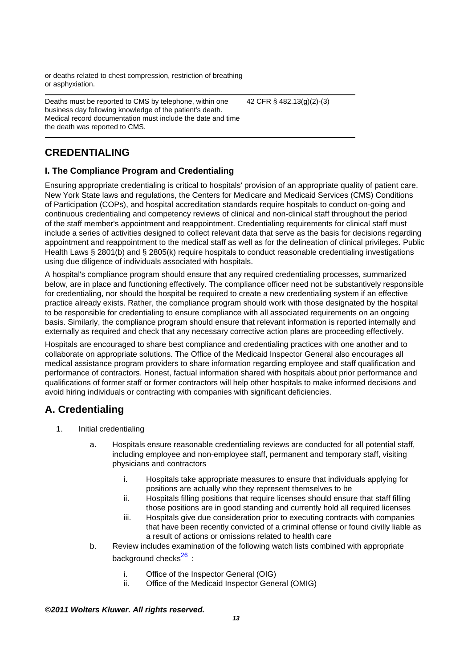or deaths related to chest compression, restriction of breathing or asphyxiation.

Deaths must be reported to CMS by telephone, within one business day following knowledge of the patient's death. Medical record documentation must include the date and time the death was reported to CMS. 42 CFR § 482.13(g)(2)-(3)

# **CREDENTIALING**

### **I. The Compliance Program and Credentialing**

Ensuring appropriate credentialing is critical to hospitals' provision of an appropriate quality of patient care. New York State laws and regulations, the Centers for Medicare and Medicaid Services (CMS) Conditions of Participation (COPs), and hospital accreditation standards require hospitals to conduct on-going and continuous credentialing and competency reviews of clinical and non-clinical staff throughout the period of the staff member's appointment and reappointment. Credentialing requirements for clinical staff must include a series of activities designed to collect relevant data that serve as the basis for decisions regarding appointment and reappointment to the medical staff as well as for the delineation of clinical privileges. Public Health Laws § 2801(b) and § 2805(k) require hospitals to conduct reasonable credentialing investigations using due diligence of individuals associated with hospitals.

A hospital's compliance program should ensure that any required credentialing processes, summarized below, are in place and functioning effectively. The compliance officer need not be substantively responsible for credentialing, nor should the hospital be required to create a new credentialing system if an effective practice already exists. Rather, the compliance program should work with those designated by the hospital to be responsible for credentialing to ensure compliance with all associated requirements on an ongoing basis. Similarly, the compliance program should ensure that relevant information is reported internally and externally as required and check that any necessary corrective action plans are proceeding effectively.

Hospitals are encouraged to share best compliance and credentialing practices with one another and to collaborate on appropriate solutions. The Office of the Medicaid Inspector General also encourages all medical assistance program providers to share information regarding employee and staff qualification and performance of contractors. Honest, factual information shared with hospitals about prior performance and qualifications of former staff or former contractors will help other hospitals to make informed decisions and avoid hiring individuals or contracting with companies with significant deficiencies.

# **A. Credentialing**

- 1. Initial credentialing
	- a. Hospitals ensure reasonable credentialing reviews are conducted for all potential staff, including employee and non-employee staff, permanent and temporary staff, visiting physicians and contractors
		- i. Hospitals take appropriate measures to ensure that individuals applying for positions are actually who they represent themselves to be
		- ii. Hospitals filling positions that require licenses should ensure that staff filling those positions are in good standing and currently hold all required licenses
		- iii. Hospitals give due consideration prior to executing contracts with companies that have been recently convicted of a criminal offense or found civilly liable as a result of actions or omissions related to health care
	- b. Review includes examination of the following watch lists combined with appropriate background checks<sup>26</sup> :
		- i. Office of the Inspector General (OIG)
		- ii. Office of the Medicaid Inspector General (OMIG)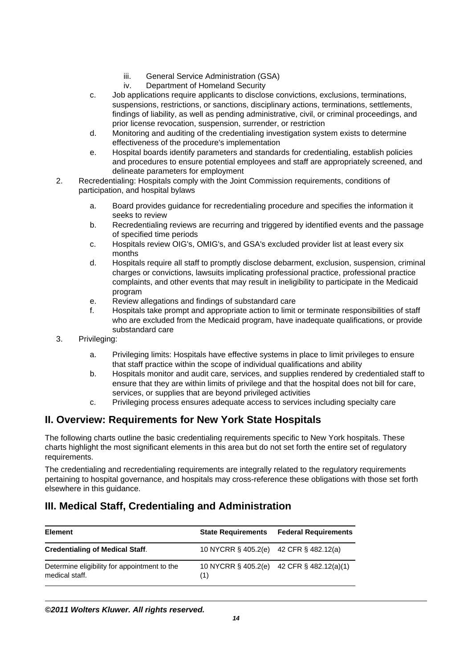- iii. General Service Administration (GSA)
- iv. Department of Homeland Security
- c. Job applications require applicants to disclose convictions, exclusions, terminations, suspensions, restrictions, or sanctions, disciplinary actions, terminations, settlements, findings of liability, as well as pending administrative, civil, or criminal proceedings, and prior license revocation, suspension, surrender, or restriction
- d. Monitoring and auditing of the credentialing investigation system exists to determine effectiveness of the procedure's implementation
- e. Hospital boards identify parameters and standards for credentialing, establish policies and procedures to ensure potential employees and staff are appropriately screened, and delineate parameters for employment
- 2. Recredentialing: Hospitals comply with the Joint Commission requirements, conditions of participation, and hospital bylaws
	- a. Board provides guidance for recredentialing procedure and specifies the information it seeks to review
	- b. Recredentialing reviews are recurring and triggered by identified events and the passage of specified time periods
	- c. Hospitals review OIG's, OMIG's, and GSA's excluded provider list at least every six months
	- d. Hospitals require all staff to promptly disclose debarment, exclusion, suspension, criminal charges or convictions, lawsuits implicating professional practice, professional practice complaints, and other events that may result in ineligibility to participate in the Medicaid program
	- e. Review allegations and findings of substandard care
	- f. Hospitals take prompt and appropriate action to limit or terminate responsibilities of staff who are excluded from the Medicaid program, have inadequate qualifications, or provide substandard care
- 3. Privileging:
	- a. Privileging limits: Hospitals have effective systems in place to limit privileges to ensure that staff practice within the scope of individual qualifications and ability
	- b. Hospitals monitor and audit care, services, and supplies rendered by credentialed staff to ensure that they are within limits of privilege and that the hospital does not bill for care, services, or supplies that are beyond privileged activities
	- c. Privileging process ensures adequate access to services including specialty care

## **II. Overview: Requirements for New York State Hospitals**

The following charts outline the basic credentialing requirements specific to New York hospitals. These charts highlight the most significant elements in this area but do not set forth the entire set of regulatory requirements.

The credentialing and recredentialing requirements are integrally related to the regulatory requirements pertaining to hospital governance, and hospitals may cross-reference these obligations with those set forth elsewhere in this guidance.

## **III. Medical Staff, Credentialing and Administration**

| <b>Element</b>                                                 | <b>State Requirements</b>              | <b>Federal Requirements</b>               |
|----------------------------------------------------------------|----------------------------------------|-------------------------------------------|
| <b>Credentialing of Medical Staff.</b>                         | 10 NYCRR § 405.2(e) 42 CFR § 482.12(a) |                                           |
| Determine eligibility for appointment to the<br>medical staff. | (1)                                    | 10 NYCRR § 405.2(e) 42 CFR § 482.12(a)(1) |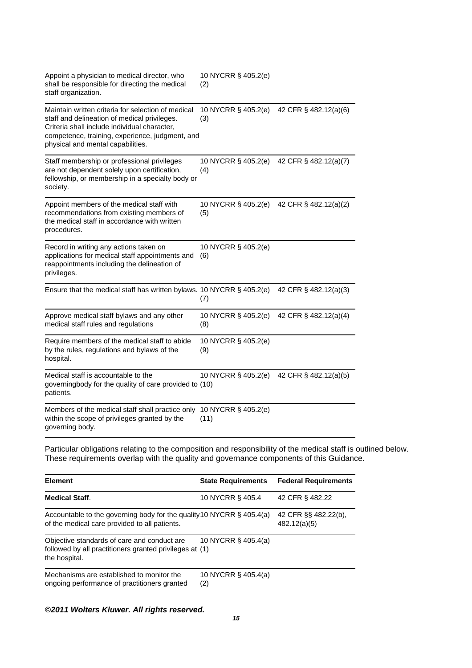| Appoint a physician to medical director, who<br>shall be responsible for directing the medical<br>staff organization.                                                                                                                      | 10 NYCRR § 405.2(e)<br>(2)  |                       |
|--------------------------------------------------------------------------------------------------------------------------------------------------------------------------------------------------------------------------------------------|-----------------------------|-----------------------|
| Maintain written criteria for selection of medical<br>staff and delineation of medical privileges.<br>Criteria shall include individual character,<br>competence, training, experience, judgment, and<br>physical and mental capabilities. | 10 NYCRR § 405.2(e)<br>(3)  | 42 CFR § 482.12(a)(6) |
| Staff membership or professional privileges<br>are not dependent solely upon certification,<br>fellowship, or membership in a specialty body or<br>society.                                                                                | 10 NYCRR § 405.2(e)<br>(4)  | 42 CFR § 482.12(a)(7) |
| Appoint members of the medical staff with<br>recommendations from existing members of<br>the medical staff in accordance with written<br>procedures.                                                                                       | 10 NYCRR § 405.2(e)<br>(5)  | 42 CFR § 482.12(a)(2) |
| Record in writing any actions taken on<br>applications for medical staff appointments and<br>reappointments including the delineation of<br>privileges.                                                                                    | 10 NYCRR § 405.2(e)<br>(6)  |                       |
| Ensure that the medical staff has written bylaws. 10 NYCRR § 405.2(e)                                                                                                                                                                      | (7)                         | 42 CFR § 482.12(a)(3) |
| Approve medical staff bylaws and any other<br>medical staff rules and regulations                                                                                                                                                          | 10 NYCRR § 405.2(e)<br>(8)  | 42 CFR § 482.12(a)(4) |
| Require members of the medical staff to abide<br>by the rules, regulations and bylaws of the<br>hospital.                                                                                                                                  | 10 NYCRR § 405.2(e)<br>(9)  |                       |
| Medical staff is accountable to the<br>governingbody for the quality of care provided to (10)<br>patients.                                                                                                                                 | 10 NYCRR § 405.2(e)         | 42 CFR § 482.12(a)(5) |
| Members of the medical staff shall practice only<br>within the scope of privileges granted by the<br>governing body.                                                                                                                       | 10 NYCRR § 405.2(e)<br>(11) |                       |

Particular obligations relating to the composition and responsibility of the medical staff is outlined below. These requirements overlap with the quality and governance components of this Guidance.

| <b>Element</b>                                                                                                          | <b>State Requirements</b>  | <b>Federal Requirements</b>          |
|-------------------------------------------------------------------------------------------------------------------------|----------------------------|--------------------------------------|
| <b>Medical Staff.</b>                                                                                                   | 10 NYCRR § 405.4           | 42 CFR § 482.22                      |
| Accountable to the governing body for the quality 10 NYCRR § 405.4(a)<br>of the medical care provided to all patients.  |                            | 42 CFR §§ 482.22(b),<br>482.12(a)(5) |
| Objective standards of care and conduct are<br>followed by all practitioners granted privileges at (1)<br>the hospital. | 10 NYCRR § 405.4(a)        |                                      |
| Mechanisms are established to monitor the<br>ongoing performance of practitioners granted                               | 10 NYCRR § 405.4(a)<br>(2) |                                      |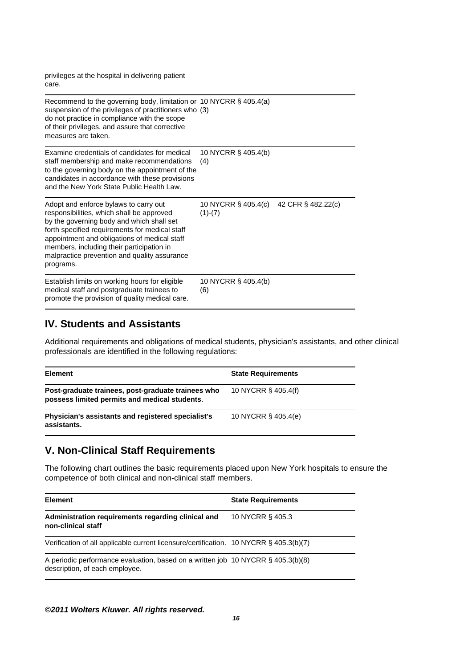privileges at the hospital in delivering patient care.

| Recommend to the governing body, limitation or 10 NYCRR $\S$ 405.4(a)<br>suspension of the privileges of practitioners who (3)<br>do not practice in compliance with the scope<br>of their privileges, and assure that corrective<br>measures are taken.                                                                                    |                                  |                    |
|---------------------------------------------------------------------------------------------------------------------------------------------------------------------------------------------------------------------------------------------------------------------------------------------------------------------------------------------|----------------------------------|--------------------|
| Examine credentials of candidates for medical<br>staff membership and make recommendations<br>to the governing body on the appointment of the<br>candidates in accordance with these provisions<br>and the New York State Public Health Law.                                                                                                | 10 NYCRR § 405.4(b)<br>(4)       |                    |
| Adopt and enforce bylaws to carry out<br>responsibilities, which shall be approved<br>by the governing body and which shall set<br>forth specified requirements for medical staff<br>appointment and obligations of medical staff<br>members, including their participation in<br>malpractice prevention and quality assurance<br>programs. | 10 NYCRR § 405.4(c)<br>$(1)-(7)$ | 42 CFR § 482.22(c) |
| Establish limits on working hours for eligible<br>medical staff and postgraduate trainees to<br>promote the provision of quality medical care.                                                                                                                                                                                              | 10 NYCRR § 405.4(b)<br>(6)       |                    |

### **IV. Students and Assistants**

Additional requirements and obligations of medical students, physician's assistants, and other clinical professionals are identified in the following regulations:

| <b>Element</b>                                                                                      | <b>State Requirements</b> |
|-----------------------------------------------------------------------------------------------------|---------------------------|
| Post-graduate trainees, post-graduate trainees who<br>possess limited permits and medical students. | 10 NYCRR § 405.4(f)       |
| Physician's assistants and registered specialist's<br>assistants.                                   | 10 NYCRR § 405.4(e)       |

# **V. Non-Clinical Staff Requirements**

The following chart outlines the basic requirements placed upon New York hospitals to ensure the competence of both clinical and non-clinical staff members.

| <b>Element</b>                                                                                                     | <b>State Requirements</b> |
|--------------------------------------------------------------------------------------------------------------------|---------------------------|
| Administration requirements regarding clinical and<br>non-clinical staff                                           | 10 NYCRR § 405.3          |
| Verification of all applicable current licensure/certification. 10 NYCRR § 405.3(b)(7)                             |                           |
| A periodic performance evaluation, based on a written job 10 NYCRR § 405.3(b)(8)<br>description, of each employee. |                           |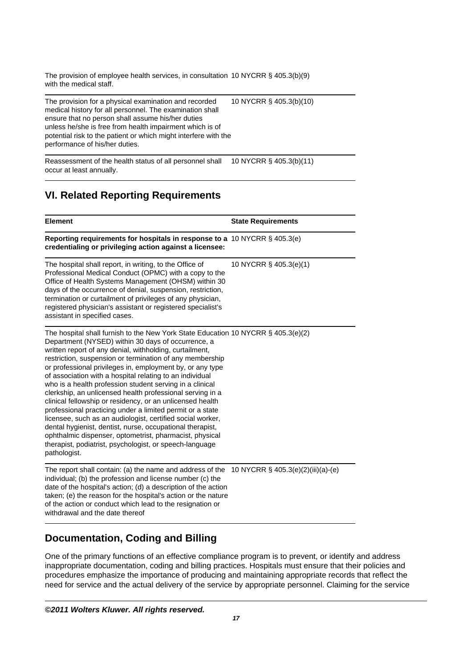The provision of employee health services, in consultation 10 NYCRR § 405.3(b)(9) with the medical staff.

The provision for a physical examination and recorded medical history for all personnel. The examination shall ensure that no person shall assume his/her duties unless he/she is free from health impairment which is of potential risk to the patient or which might interfere with the performance of his/her duties. 10 NYCRR § 405.3(b)(10)

Reassessment of the health status of all personnel shall occur at least annually. 10 NYCRR § 405.3(b)(11)

# **VI. Related Reporting Requirements**

| <b>Element</b>                                                                                                                                                                                                                                                                                                                                                                                                                                                                                                                                                                                                                                                                                                                                                                                                                                                                                              | <b>State Requirements</b>          |
|-------------------------------------------------------------------------------------------------------------------------------------------------------------------------------------------------------------------------------------------------------------------------------------------------------------------------------------------------------------------------------------------------------------------------------------------------------------------------------------------------------------------------------------------------------------------------------------------------------------------------------------------------------------------------------------------------------------------------------------------------------------------------------------------------------------------------------------------------------------------------------------------------------------|------------------------------------|
| Reporting requirements for hospitals in response to a 10 NYCRR § 405.3(e)<br>credentialing or privileging action against a licensee:                                                                                                                                                                                                                                                                                                                                                                                                                                                                                                                                                                                                                                                                                                                                                                        |                                    |
| The hospital shall report, in writing, to the Office of<br>Professional Medical Conduct (OPMC) with a copy to the<br>Office of Health Systems Management (OHSM) within 30<br>days of the occurrence of denial, suspension, restriction,<br>termination or curtailment of privileges of any physician,<br>registered physician's assistant or registered specialist's<br>assistant in specified cases.                                                                                                                                                                                                                                                                                                                                                                                                                                                                                                       | 10 NYCRR § 405.3(e)(1)             |
| The hospital shall furnish to the New York State Education 10 NYCRR § 405.3(e)(2)<br>Department (NYSED) within 30 days of occurrence, a<br>written report of any denial, withholding, curtailment,<br>restriction, suspension or termination of any membership<br>or professional privileges in, employment by, or any type<br>of association with a hospital relating to an individual<br>who is a health profession student serving in a clinical<br>clerkship, an unlicensed health professional serving in a<br>clinical fellowship or residency, or an unlicensed health<br>professional practicing under a limited permit or a state<br>licensee, such as an audiologist, certified social worker,<br>dental hygienist, dentist, nurse, occupational therapist,<br>ophthalmic dispenser, optometrist, pharmacist, physical<br>therapist, podiatrist, psychologist, or speech-language<br>pathologist. |                                    |
| The report shall contain: (a) the name and address of the<br>individual; (b) the profession and license number (c) the<br>date of the hospital's action; (d) a description of the action<br>taken; (e) the reason for the hospital's action or the nature<br>of the action or conduct which lead to the resignation or<br>withdrawal and the date thereof                                                                                                                                                                                                                                                                                                                                                                                                                                                                                                                                                   | 10 NYCRR § 405.3(e)(2)(iii)(a)-(e) |

# **Documentation, Coding and Billing**

One of the primary functions of an effective compliance program is to prevent, or identify and address inappropriate documentation, coding and billing practices. Hospitals must ensure that their policies and procedures emphasize the importance of producing and maintaining appropriate records that reflect the need for service and the actual delivery of the service by appropriate personnel. Claiming for the service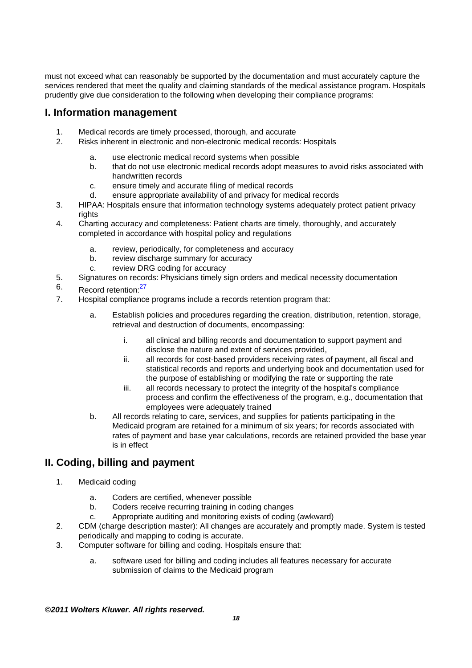must not exceed what can reasonably be supported by the documentation and must accurately capture the services rendered that meet the quality and claiming standards of the medical assistance program. Hospitals prudently give due consideration to the following when developing their compliance programs:

### **I. Information management**

- 1. Medical records are timely processed, thorough, and accurate
- 2. Risks inherent in electronic and non-electronic medical records: Hospitals
	- a. use electronic medical record systems when possible
	- b. that do not use electronic medical records adopt measures to avoid risks associated with handwritten records
	- c. ensure timely and accurate filing of medical records
	- d. ensure appropriate availability of and privacy for medical records
- 3. HIPAA: Hospitals ensure that information technology systems adequately protect patient privacy rights
- 4. Charting accuracy and completeness: Patient charts are timely, thoroughly, and accurately completed in accordance with hospital policy and regulations
	- a. review, periodically, for completeness and accuracy
	- b. review discharge summary for accuracy
	- c. review DRG coding for accuracy
- 5. Signatures on records: Physicians timely sign orders and medical necessity documentation
- 6. Record retention:<sup>27</sup>
- 7. Hospital compliance programs include a records retention program that:
	- a. Establish policies and procedures regarding the creation, distribution, retention, storage, retrieval and destruction of documents, encompassing:
		- i. all clinical and billing records and documentation to support payment and disclose the nature and extent of services provided,
		- ii. all records for cost-based providers receiving rates of payment, all fiscal and statistical records and reports and underlying book and documentation used for the purpose of establishing or modifying the rate or supporting the rate
		- iii. all records necessary to protect the integrity of the hospital's compliance process and confirm the effectiveness of the program, e.g., documentation that employees were adequately trained
	- b. All records relating to care, services, and supplies for patients participating in the Medicaid program are retained for a minimum of six years; for records associated with rates of payment and base year calculations, records are retained provided the base year is in effect

## **II. Coding, billing and payment**

- 1. Medicaid coding
	- a. Coders are certified, whenever possible
	- b. Coders receive recurring training in coding changes
	- c. Appropriate auditing and monitoring exists of coding (awkward)
- 2. CDM (charge description master): All changes are accurately and promptly made. System is tested periodically and mapping to coding is accurate.
- 3. Computer software for billing and coding. Hospitals ensure that:
	- a. software used for billing and coding includes all features necessary for accurate submission of claims to the Medicaid program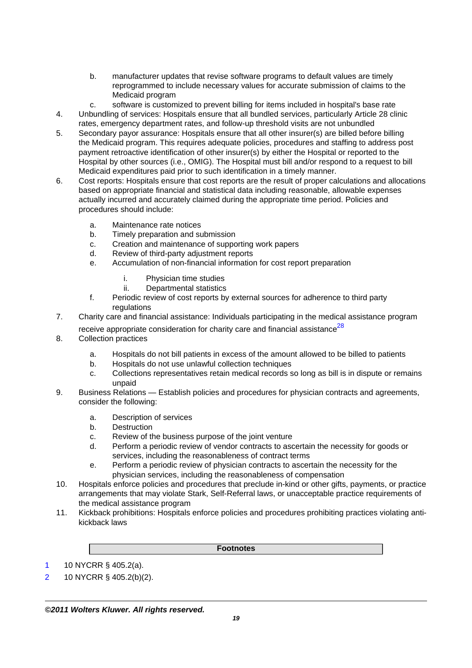- b. manufacturer updates that revise software programs to default values are timely reprogrammed to include necessary values for accurate submission of claims to the Medicaid program
- c. software is customized to prevent billing for items included in hospital's base rate
- 4. Unbundling of services: Hospitals ensure that all bundled services, particularly Article 28 clinic rates, emergency department rates, and follow-up threshold visits are not unbundled
- 5. Secondary payor assurance: Hospitals ensure that all other insurer(s) are billed before billing the Medicaid program. This requires adequate policies, procedures and staffing to address post payment retroactive identification of other insurer(s) by either the Hospital or reported to the Hospital by other sources (i.e., OMIG). The Hospital must bill and/or respond to a request to bill Medicaid expenditures paid prior to such identification in a timely manner.
- 6. Cost reports: Hospitals ensure that cost reports are the result of proper calculations and allocations based on appropriate financial and statistical data including reasonable, allowable expenses actually incurred and accurately claimed during the appropriate time period. Policies and procedures should include:
	- a. Maintenance rate notices
	- b. Timely preparation and submission
	- c. Creation and maintenance of supporting work papers
	- d. Review of third-party adjustment reports
	- e. Accumulation of non-financial information for cost report preparation
		- i. Physician time studies
		- ii. Departmental statistics
	- f. Periodic review of cost reports by external sources for adherence to third party regulations
- 7. Charity care and financial assistance: Individuals participating in the medical assistance program receive appropriate consideration for charity care and financial assistance $^{28}$ 
	-
- 8. Collection practices
	- a. Hospitals do not bill patients in excess of the amount allowed to be billed to patients
	- b. Hospitals do not use unlawful collection techniques
	- c. Collections representatives retain medical records so long as bill is in dispute or remains unpaid
- 9. Business Relations Establish policies and procedures for physician contracts and agreements, consider the following:
	- a. Description of services
	- b. Destruction
	- c. Review of the business purpose of the joint venture
	- d. Perform a periodic review of vendor contracts to ascertain the necessity for goods or services, including the reasonableness of contract terms
	- e. Perform a periodic review of physician contracts to ascertain the necessity for the physician services, including the reasonableness of compensation
- 10. Hospitals enforce policies and procedures that preclude in-kind or other gifts, payments, or practice arrangements that may violate Stark, Self-Referral laws, or unacceptable practice requirements of the medical assistance program
- 11. Kickback prohibitions: Hospitals enforce policies and procedures prohibiting practices violating antikickback laws

#### **Footnotes**

1 10 NYCRR § 405.2(a).

<sup>2 10</sup> NYCRR § 405.2(b)(2).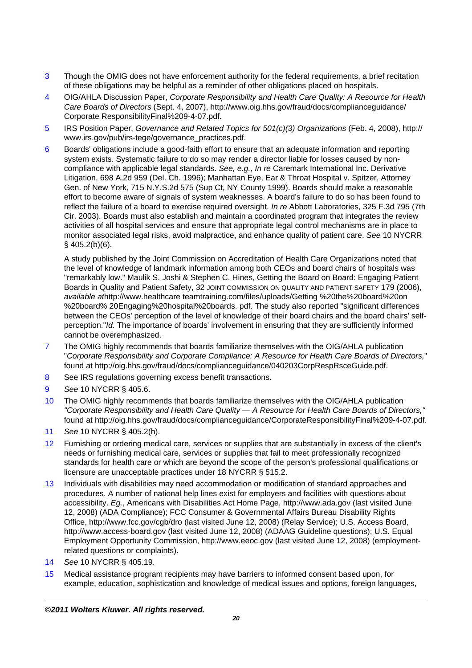- 3 Though the OMIG does not have enforcement authority for the federal requirements, a brief recitation of these obligations may be helpful as a reminder of other obligations placed on hospitals.
- 4 OIG/AHLA Discussion Paper, Corporate Responsibility and Health Care Quality: A Resource for Health Care Boards of Directors (Sept. 4, 2007), http://www.oig.hhs.gov/fraud/docs/complianceguidance/ Corporate ResponsibilityFinal%209-4-07.pdf.
- 5 IRS Position Paper, Governance and Related Topics for 501(c)(3) Organizations (Feb. 4, 2008), http:// www.irs.gov/pub/irs-tege/governance\_practices.pdf.
- 6 Boards' obligations include a good-faith effort to ensure that an adequate information and reporting system exists. Systematic failure to do so may render a director liable for losses caused by noncompliance with applicable legal standards. See, e.g., In re Caremark International Inc. Derivative Litigation, 698 A.2d 959 (Del. Ch. 1996); Manhattan Eye, Ear & Throat Hospital v. Spitzer, Attorney Gen. of New York, 715 N.Y.S.2d 575 (Sup Ct, NY County 1999). Boards should make a reasonable effort to become aware of signals of system weaknesses. A board's failure to do so has been found to reflect the failure of a board to exercise required oversight. In re Abbott Laboratories, 325 F.3d 795 (7th Cir. 2003). Boards must also establish and maintain a coordinated program that integrates the review activities of all hospital services and ensure that appropriate legal control mechanisms are in place to monitor associated legal risks, avoid malpractice, and enhance quality of patient care. See 10 NYCRR § 405.2(b)(6).

A study published by the Joint Commission on Accreditation of Health Care Organizations noted that the level of knowledge of landmark information among both CEOs and board chairs of hospitals was "remarkably low." Maulik S. Joshi & Stephen C. Hines, Getting the Board on Board: Engaging Patient Boards in Quality and Patient Safety, 32 JOINT COMMISSION ON QUALITY AND PATIENT SAFETY 179 (2006), available athttp://www.healthcare teamtraining.com/files/uploads/Getting %20the%20board%20on %20board% 20Engaging%20hospital%20boards. pdf. The study also reported "significant differences between the CEOs' perception of the level of knowledge of their board chairs and the board chairs' selfperception."Id. The importance of boards' involvement in ensuring that they are sufficiently informed cannot be overemphasized.

- 7 The OMIG highly recommends that boards familiarize themselves with the OIG/AHLA publication "Corporate Responsibility and Corporate Compliance: A Resource for Health Care Boards of Directors," found at http://oig.hhs.gov/fraud/docs/complianceguidance/040203CorpRespRsceGuide.pdf.
- 8 See IRS regulations governing excess benefit transactions.
- 9 See 10 NYCRR § 405.6.
- 10 The OMIG highly recommends that boards familiarize themselves with the OIG/AHLA publication "Corporate Responsibility and Health Care Quality — A Resource for Health Care Boards of Directors," found at http://oig.hhs.gov/fraud/docs/complianceguidance/CorporateResponsibilityFinal%209-4-07.pdf.
- 11 See 10 NYCRR § 405.2(h).
- 12 Furnishing or ordering medical care, services or supplies that are substantially in excess of the client's needs or furnishing medical care, services or supplies that fail to meet professionally recognized standards for health care or which are beyond the scope of the person's professional qualifications or licensure are unacceptable practices under 18 NYCRR § 515.2.
- 13 Individuals with disabilities may need accommodation or modification of standard approaches and procedures. A number of national help lines exist for employers and facilities with questions about accessibility. Eg., Americans with Disabilities Act Home Page, http://www.ada.gov (last visited June 12, 2008) (ADA Compliance); FCC Consumer & Governmental Affairs Bureau Disability Rights Office, http://www.fcc.gov/cgb/dro (last visited June 12, 2008) (Relay Service); U.S. Access Board, http://www.access-board.gov (last visited June 12, 2008) (ADAAG Guideline questions); U.S. Equal Employment Opportunity Commission, http://www.eeoc.gov (last visited June 12, 2008) (employmentrelated questions or complaints).
- 14 See 10 NYCRR § 405.19.
- 15 Medical assistance program recipients may have barriers to informed consent based upon, for example, education, sophistication and knowledge of medical issues and options, foreign languages,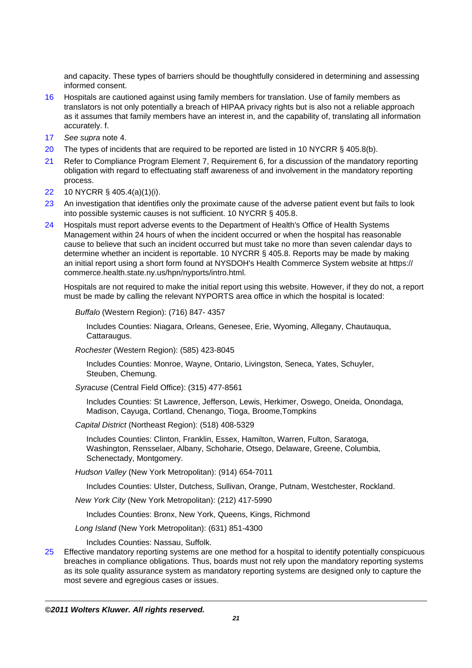and capacity. These types of barriers should be thoughtfully considered in determining and assessing informed consent.

- 16 Hospitals are cautioned against using family members for translation. Use of family members as translators is not only potentially a breach of HIPAA privacy rights but is also not a reliable approach as it assumes that family members have an interest in, and the capability of, translating all information accurately. f.
- 17 See supra note 4.
- 20 The types of incidents that are required to be reported are listed in 10 NYCRR § 405.8(b).
- 21 Refer to Compliance Program Element 7, Requirement 6, for a discussion of the mandatory reporting obligation with regard to effectuating staff awareness of and involvement in the mandatory reporting process.
- 22 10 NYCRR § 405.4(a)(1)(i).
- 23 An investigation that identifies only the proximate cause of the adverse patient event but fails to look into possible systemic causes is not sufficient. 10 NYCRR § 405.8.
- 24 Hospitals must report adverse events to the Department of Health's Office of Health Systems Management within 24 hours of when the incident occurred or when the hospital has reasonable cause to believe that such an incident occurred but must take no more than seven calendar days to determine whether an incident is reportable. 10 NYCRR § 405.8. Reports may be made by making an initial report using a short form found at NYSDOH's Health Commerce System website at https:// commerce.health.state.ny.us/hpn/nyports/intro.html.

Hospitals are not required to make the initial report using this website. However, if they do not, a report must be made by calling the relevant NYPORTS area office in which the hospital is located:

Buffalo (Western Region): (716) 847- 4357

Includes Counties: Niagara, Orleans, Genesee, Erie, Wyoming, Allegany, Chautauqua, Cattaraugus.

Rochester (Western Region): (585) 423-8045

Includes Counties: Monroe, Wayne, Ontario, Livingston, Seneca, Yates, Schuyler, Steuben, Chemung.

Syracuse (Central Field Office): (315) 477-8561

Includes Counties: St Lawrence, Jefferson, Lewis, Herkimer, Oswego, Oneida, Onondaga, Madison, Cayuga, Cortland, Chenango, Tioga, Broome,Tompkins

Capital District (Northeast Region): (518) 408-5329

Includes Counties: Clinton, Franklin, Essex, Hamilton, Warren, Fulton, Saratoga, Washington, Rensselaer, Albany, Schoharie, Otsego, Delaware, Greene, Columbia, Schenectady, Montgomery.

Hudson Valley (New York Metropolitan): (914) 654-7011

Includes Counties: Ulster, Dutchess, Sullivan, Orange, Putnam, Westchester, Rockland.

New York City (New York Metropolitan): (212) 417-5990

Includes Counties: Bronx, New York, Queens, Kings, Richmond

Long Island (New York Metropolitan): (631) 851-4300

Includes Counties: Nassau, Suffolk.

25 Effective mandatory reporting systems are one method for a hospital to identify potentially conspicuous breaches in compliance obligations. Thus, boards must not rely upon the mandatory reporting systems as its sole quality assurance system as mandatory reporting systems are designed only to capture the most severe and egregious cases or issues.

**©2011 Wolters Kluwer. All rights reserved.**